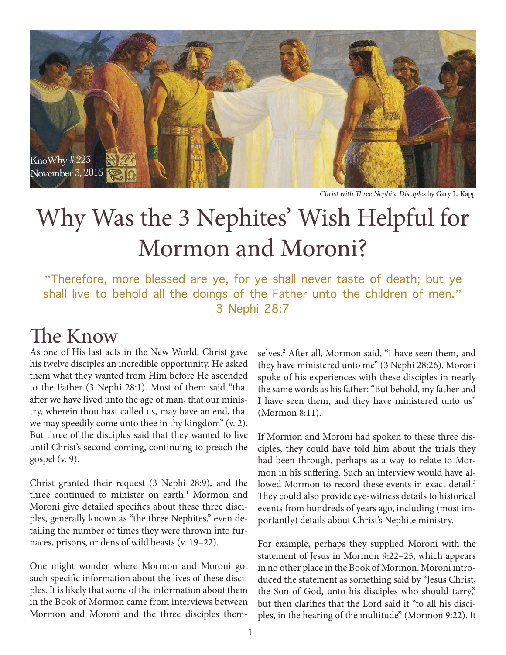

Christ with Three Nephite Disciples by Gary L. Kapp

# Why Was the 3 Nephites' Wish Helpful for Mormon and Moroni?

"Therefore, more blessed are ye, for ye shall never taste of death; but ye shall live to behold all the doings of the Father unto the children of men." 3 Nephi 28:7

## The Know

As one of His last acts in the New World, Christ gave his twelve disciples an incredible opportunity. He asked them what they wanted from Him before He ascended to the Father (3 Nephi 28:1). Most of them said "that after we have lived unto the age of man, that our ministry, wherein thou hast called us, may have an end, that we may speedily come unto thee in thy kingdom" (v. 2). But three of the disciples said that they wanted to live until Christ's second coming, continuing to preach the gospel (v. 9).

Christ granted their request (3 Nephi 28:9), and the three continued to minister on earth.<sup>1</sup> Mormon and Moroni give detailed specifics about these three disciples, generally known as "the three Nephites," even detailing the number of times they were thrown into furnaces, prisons, or dens of wild beasts (v. 19–22).

One might wonder where Mormon and Moroni got such specific information about the lives of these disciples. It is likely that some of the information about them in the Book of Mormon came from interviews between Mormon and Moroni and the three disciples themselves.<sup>2</sup> After all, Mormon said, "I have seen them, and they have ministered unto me" (3 Nephi 28:26). Moroni spoke of his experiences with these disciples in nearly the same words as his father: "But behold, my father and I have seen them, and they have ministered unto us" (Mormon 8:11).

If Mormon and Moroni had spoken to these three disciples, they could have told him about the trials they had been through, perhaps as a way to relate to Mormon in his suffering. Such an interview would have allowed Mormon to record these events in exact detail.<sup>3</sup> They could also provide eye-witness details to historical events from hundreds of years ago, including (most importantly) details about Christ's Nephite ministry.

For example, perhaps they supplied Moroni with the statement of Jesus in Mormon 9:22–25, which appears in no other place in the Book of Mormon. Moroni introduced the statement as something said by "Jesus Christ, the Son of God, unto his disciples who should tarry," but then clarifies that the Lord said it "to all his disciples, in the hearing of the multitude" (Mormon 9:22). It